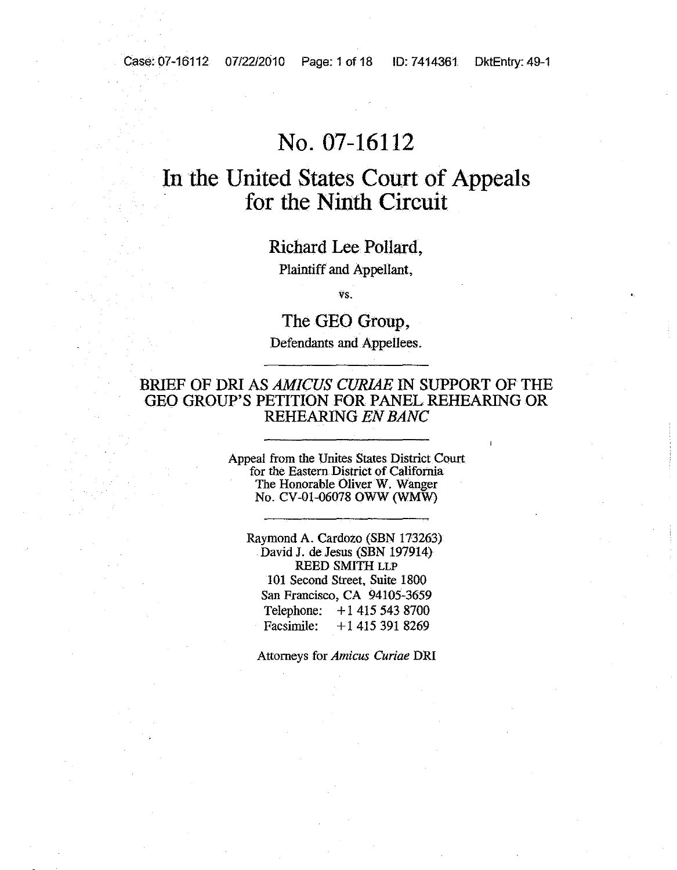# **No. 07-16112**

# **III the United States Court of Appeals for the Ninth Circuit**

Richard Lee Pollard,

Plaintiff and Appellant,

vs.

The GEQ Group, Defendants and Appellees.

### BRIEF OF DRI AS *AMICUS CURIAE* IN SUPPORT OF THE GEO GROUP'S PETITION FOR PANEL REHEARING OR REHEARING *ENBANC*

Appeal from the Unites States District Court for the Eastern District of california The Honorable Oliver W. Wanger No. CV-01-06078 OWW (WMW)

Raymond A. Cardozo (SBN 173263) David J. de Jesus (SBN 197914) REED SMITH LLP 101 Second Street, Suite 1800 San Francisco, CA 94105-3659 Telephone: +1 415 543 8700<br>Facsimile: +1 415 391 8269 Facsimile: +1 415 391 8269

Attorneys for *Amicus Curiae* DR!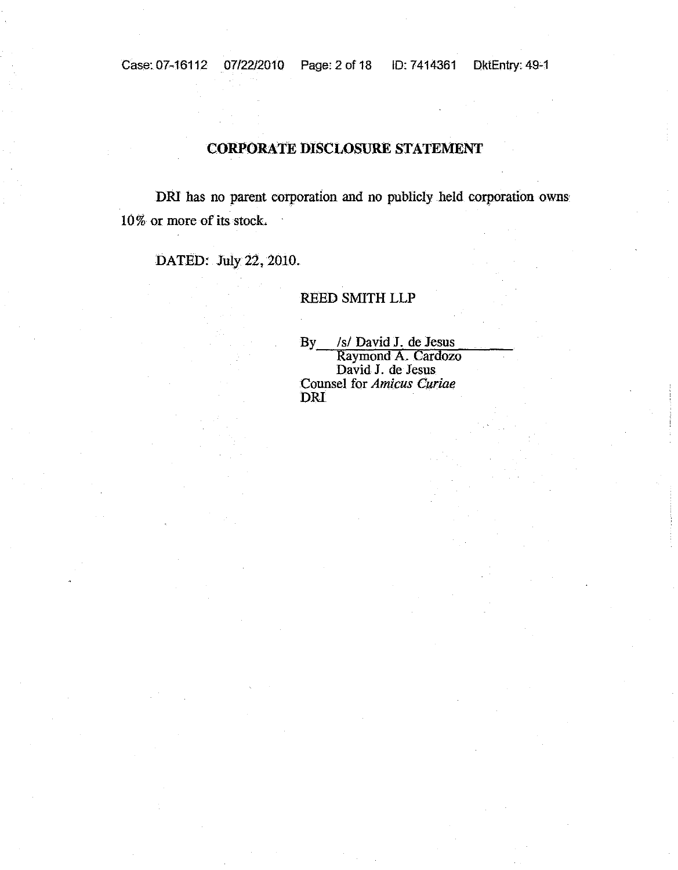### **CORPORATE DISCLOSURE STATEMENT**

DRI has no parent corporation and no publicly held corporation owns 10% or more of its stock.

DATED: July 22, 2010.

REED SMITH LLP

By /s/ David J. de Jesus Raymond A. Cardozo David J. de Jesus Counsel for *Amicus Curiae* DRI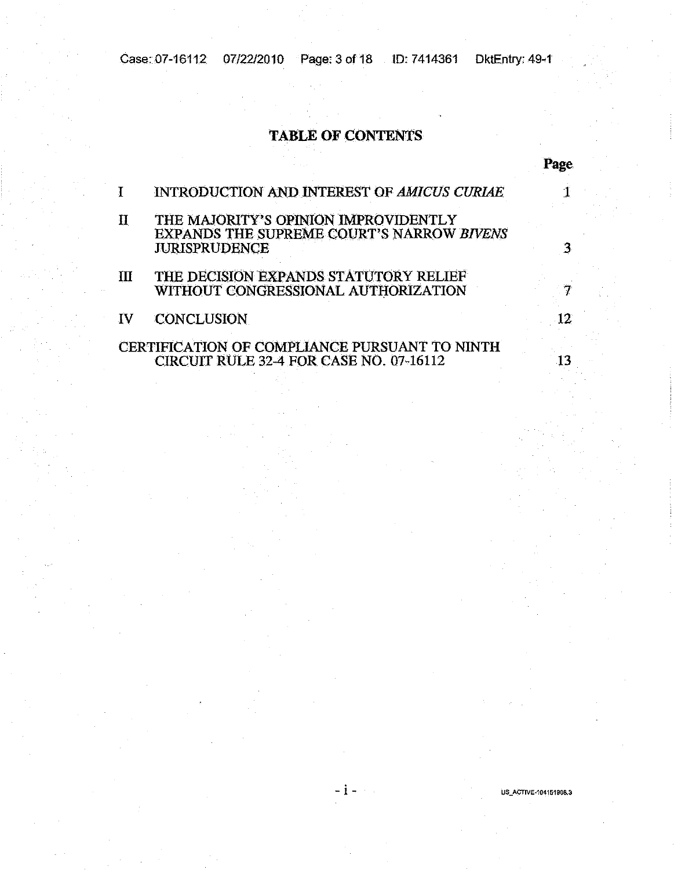Case: 07-16112 07/22/2010 Page: 3 of 18 1D: 7414361 DktEntry: 49-1

### **TABLE OF CONTENTS**

#### I INTRODUCTION AND INTEREST OF *AMICUS CURIAE 1*

II THE MAJORITY'S OptNION IMPROVIDENTLY EXPANDS THESUPREME COURT'S NARROW *BIVENS* JURISPRUDENCE 3

### III THE DECISION EXPANDS STATUTORY RELIEF WITHOUT CONGRESSIONAL AUTHORIZATION 7

### IV CONCLUSION 12

### CERTIFICATION OF COMPLIANCE PURSUANT TO NINTH CIRCUIT RULE 32-4 FOR CASE NO. 07-16112

- i - **US\_ACTIVE-104151908.3**

13

**Page**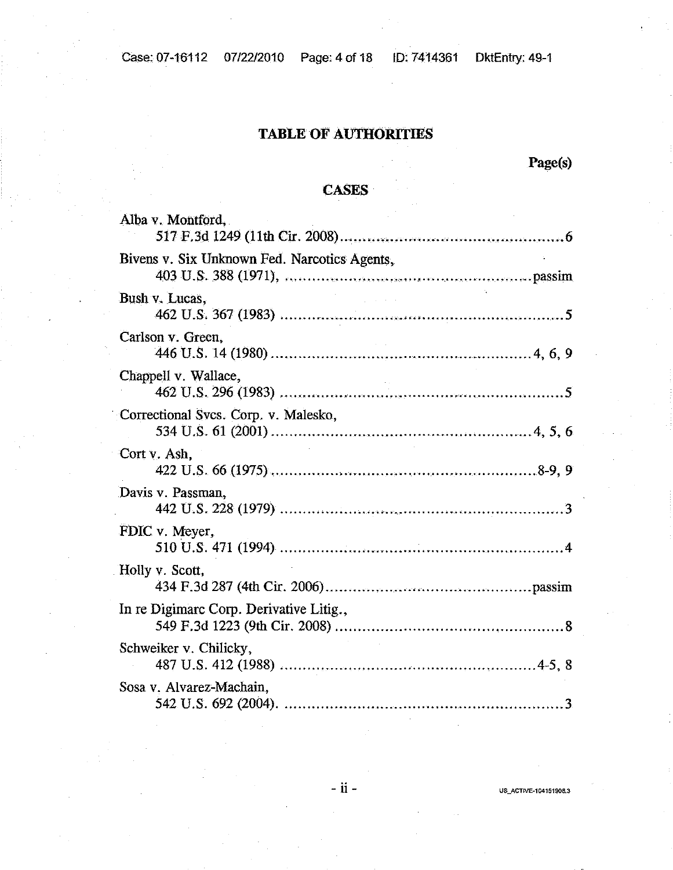## TABLE OF AUTHORITIES

Page(s)

## CASES

| Alba v. Montford,                            |  |
|----------------------------------------------|--|
| Bivens v. Six Unknown Fed. Narcotics Agents, |  |
| Bush v. Lucas,                               |  |
| Carlson v. Green,                            |  |
| Chappell v. Wallace,                         |  |
| Correctional Svcs. Corp. v. Malesko,         |  |
| Cort v. Ash.                                 |  |
| Davis v. Passman,                            |  |
| FDIC v. Meyer,                               |  |
| Holly v. Scott,                              |  |
| In re Digimarc Corp. Derivative Litig.,      |  |
| Schweiker v. Chilicky,                       |  |
| Sosa v. Alvarez-Machain.                     |  |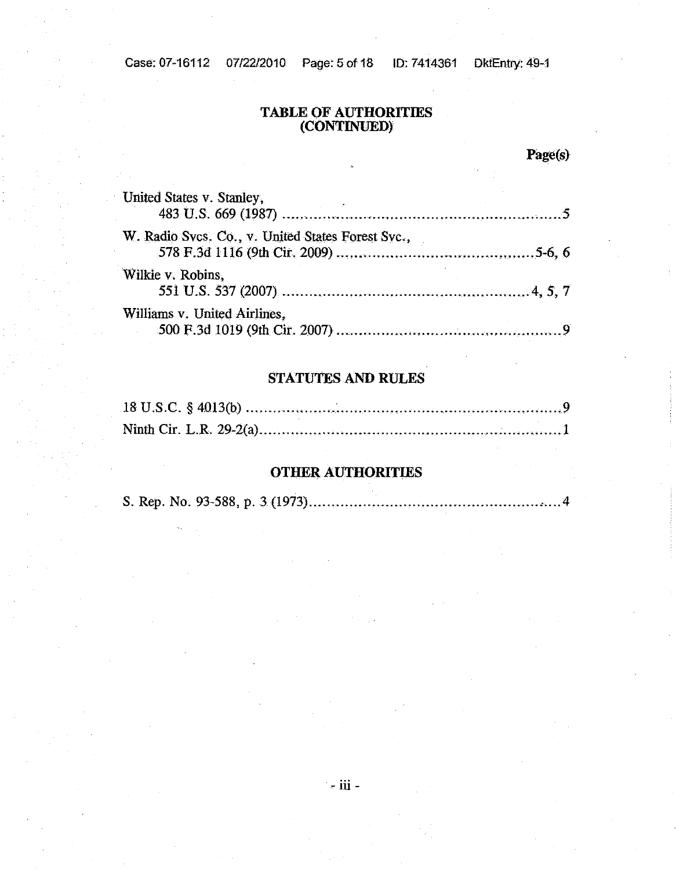#### **TABLE OF AUTHORITIES (CONTINUED)**

Page(s)

| United States v. Stanley,                         |  |
|---------------------------------------------------|--|
| W. Radio Svcs. Co., v. United States Forest Svc., |  |
| Wilkie v. Robins,                                 |  |
| Williams v. United Airlines,                      |  |

### **STATUTES AND RULES**

### **OTHER AUTHORITIES**

S. Rep. No. 93-588, p. 3(1973) , 4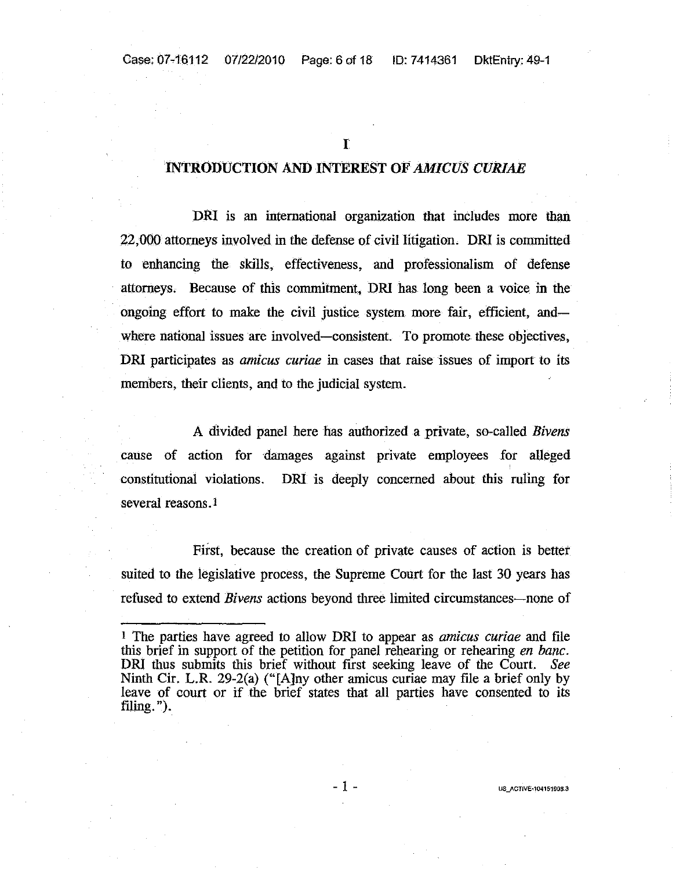r

#### INTRODUCTION AND lNTEREST OF *AMICUS CURIAE*

DRI is an international organization that includes more than 22,000 attorneys involved in the defense of civil litigation. DRI is committed to enhancing the skills, effectiveness, and professionalism of defense attorneys. Because of this commitment, DRI has long been a voice in the ongoing effort to make the civil justice system more fair, efficient, andwhere national issues are involved-consistent. To promote these objectives, DRI participates as *amicus curiae* in cases that raise issues of import to its members, their clients, and to the judicial system.

A divided panel here has authorized a private, so-called *Bivens* cause of action for damages against private employees for alleged constitutional violations. DRI is deeply concerned about this ruling for several reasons. 1

First, because the creation of private causes of action is better suited to the legislative process, the Supreme Court for the last 30 yeats has refused to extend *Bivens* actions beyond three limited circumstances—none of

- 1 -

<sup>1</sup> The parties have agreed to allow DRI to appear as *amicus curiae* and file this brief in support of the petition for panel rehearing or rehearing *en bane.* DRI thus submits this brief without first seeking leave of the Court. *See* Ninth Cir. L.R. 29-2(a) ("[A]ny other amicus curiae may file a brief only by leave of court or if the brief states that all parties have consented to its filing. ").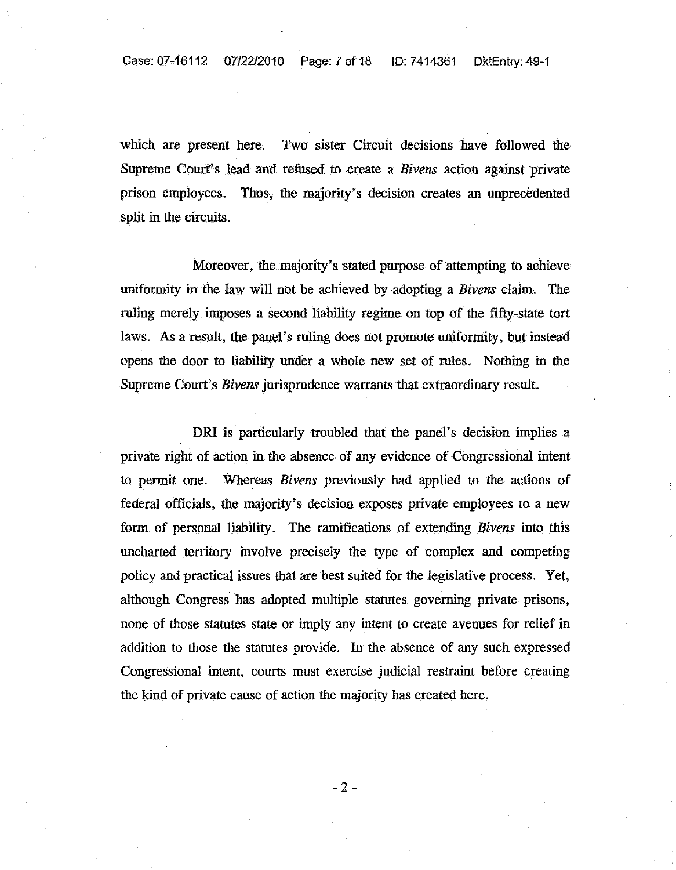Case: 07-16112 07/22/2010 Page: 7 of 18 ID: 7414361 DktEntry: 49-1

which are present here. Two sister Circuit decisions have followed the Supreme Court's lead and refused to create a *Bivens* action against private prison employees. Thus, the majority's decision creates an unprecedented split in the circuits.

Moreover, the majority's stated purpose of attempting to achieve uniformity in the law will not be achieved by adopting a *Bivens* claim, The ruling merely imposes a second liability regime on top of the fifty-state tort laws. As a result, the panel's ruling does not promote uniformity, but instead opens the door to liability under a whole new set of rules. Nothing in the Supreme Court's *Bivens* jurisprudence warrants that extraordinary result.

DRI is particularly troubled that the panel's decision implies a private right of action in the absence of any evidence of Congressional intent to permit one. Whereas *Bivens* previously had applied to the actions of federal officials, the majority's decision exposes private employees to a new form of personal liability. The ramifications of extending *Bivens* into this uncharted territory involve precisely the type of complex and competing policy and practical issues that are best suited for the legislative process. Yet, although Congress has adopted multiple statutes governing private prisons, none of those statutes state or imply any intent to create avenues for relief in addition to those the statutes provide. In the absence of any such expressed Congressional intent, courts must exercise judicial restraint before creating the kind of private cause of action the majority has created here.

 $-2 -$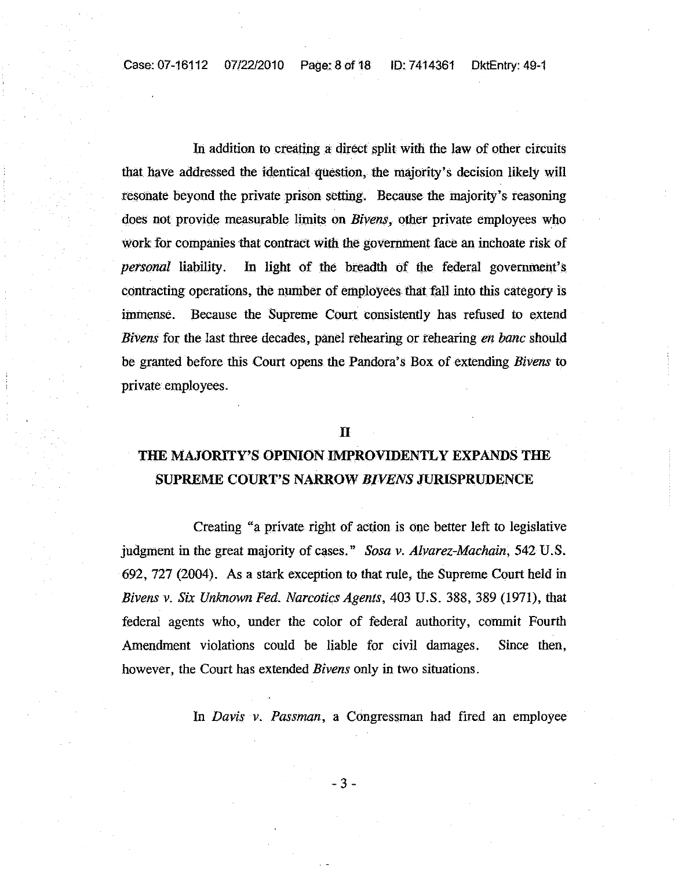Case: 07-16112 *07122/2010* Page: 8 oft8 10: 7414361 DktEntry: 49-1

In addition to creating a direct split with the law of other circuits that have addressed the identical question, the majority's decision likely will resonate beyond the private prison setting. Because the majority's reasoning does not provide measurable limits on *Bivens*, other private employees who work for companies that contract with the government face an inchoate risk of *personal* liability. In light of the breadth of the federal government's contracting operations, the number of employees that faU into this category is immense. Because the Supreme Court consistently has refused to extend *Bivens* for the last three decades, panel rehearing or rehearing *en banc* should be granted before this Court opens the Pandora's Box of extending *Bivens* to private employees.

#### n

## THE MAJORITY'S OPINION IMPROVIDENTLY EXPANDS THE SUPREME COURT'S NARROW *BIVENS* JURISPRUDENCE

Creating "a private right of action is one better left to legislative judgment in the great majority of cases." *Sosa v. Alvarez-Machain*, 542 U.S. 692, 727 (2004). As a stark exception to that rule, the Supreme Court held in *Bivens* v. *Six Unlmown Fed. Narcotics Agents,* 403 U.S. 388, 389 (1971), that federal agents who, under the color of federal authority, commit Fourth Amendment violations could be liable for civil damages. Since then, however, the Court has extended *Bivens* only in two situations.

In *Davis v. Passman,* a Congressman had fired an employee

-3-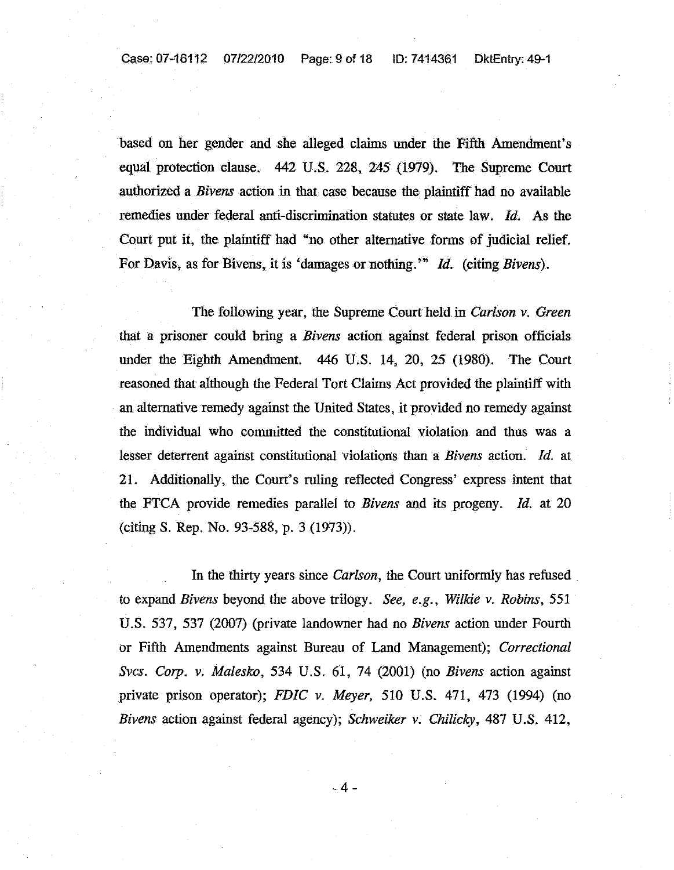based on her gender and she alleged claims under the Fifth Amendment's equal protection clause. 442 U.S. 228, 245 (1979). The Supreme Court authorized a *Bivens* action in that case because the plaintiff had no available remedies under federal anti-discrimination statutes or state law. *ld.* As the Court put it, the plaintiff had "no other alternative forms of judicial relief. For Davis, as for Bivens, it is 'damages or nothing.'<sup>79</sup> *Id.* (citing *Bivens*).

The following year, the Supreme Court held. in *Carlson v. Green* that a prisoner could bring a *Bivens* action against federal prison officials under the Eighth Amendment. 446 U.S. 14, 20, 25 (1980). The Court reasoned that although the Federal Tort Claims Act provided the plaintiff with an alternative remedy against the United States, it provided no remedy against the individual who committed the constitutional violation and thus was a lesser deterrent against constitutional violations than a *Bivens* action. *Id.* at 21. Additionally, the Court's ruling reflected Congress' express intent that the FTCA provide remedies parallel to *Bivens* and its progeny. *ld.* at 20 (citing S. Rep. No. 93-588, p. 3 (1973».

In the thirty years since *Carlson,* the Court uniformly has refused to expand *Bivens* beyond the above trilogy. *See, e.g., Wilkie v. Robins, 551* U.S. 537, 537 (2007) (private landowner had no *Bivens* action under Fourth or Fifth Amendments against Bureau of Land Management); *Correctional Svcs. Corp. v. Malesko,* 534 U.S. 61, 74 (2001) (no *Bivens* action against private prison operator); *FDIC v. Meyer,* 510 U.S. 471, 473 (1994) (no *Bivens* action against federal agency); *Schweiker v. Chilicky,* 487 U.S. 412,

-4-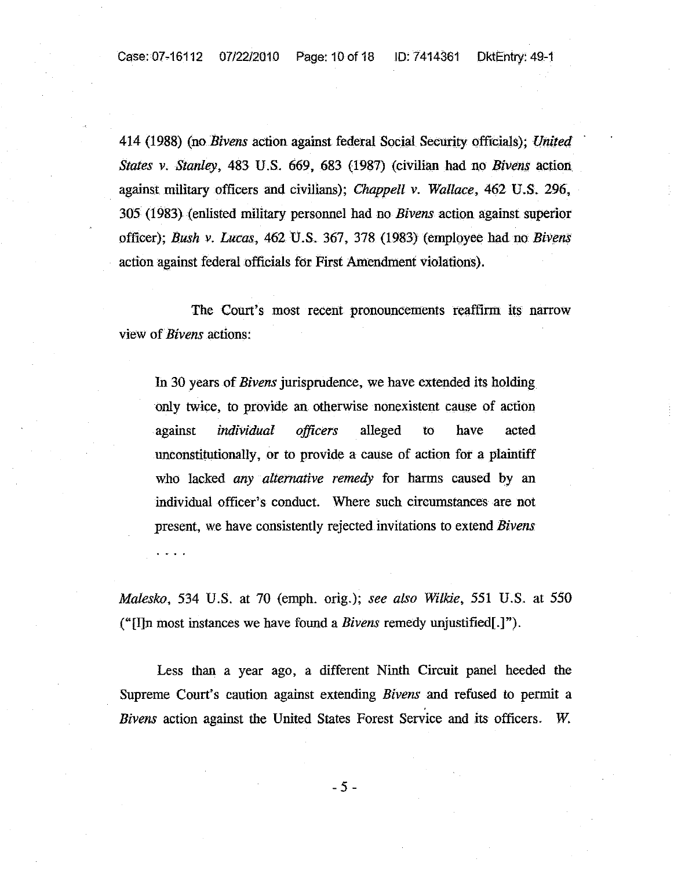414 (1988) (no *Bivens* action against federal Social Security officials); *United States v. Stanley*, 483 U.S. 669, 683 (1987) (civilian had no *Bivens* action against military officers and civilians); *Chappell v. Wallace,* 462 U.S. 296, 305 (1983) (enlisted military personnel had no *Bivens* action against superior officer); *Bush v. Lucas,* 462 U.S. 367, 378 (1983) (employee had no *Bivens* action against federal officials for First Amendment violations).

The Court's most recent pronouncements reaffirm its narrow view of *Bivens* actions:

In 30 years of *Bivens* jurisprudence, we have extended its holding only twice, to provide an otherwise nonexistent cause of action against *individual officers* alleged to have acted unconstitutionally, or to provide a cause of action fot a plaintiff who lacked *any· alternative remedy* for harms caused by an individual officer's conduct. Where such circumstances are not present, we have consistently rejected invitations to extend *Bivens*

*Malesko,* 534 U.S. at 70 (emph. orig.); *see also Wilkie,* 551 U.s.. at 550 ("[I]n most instances we have found a *Bivens* remedy unjustified[.]").

Less than a year ago, a different Ninth Circuit panel heeded the Supreme Court's caution against extending *Bivens* and refused to permit a *Bivens* action against the United States Forest Service and its officers. *W.*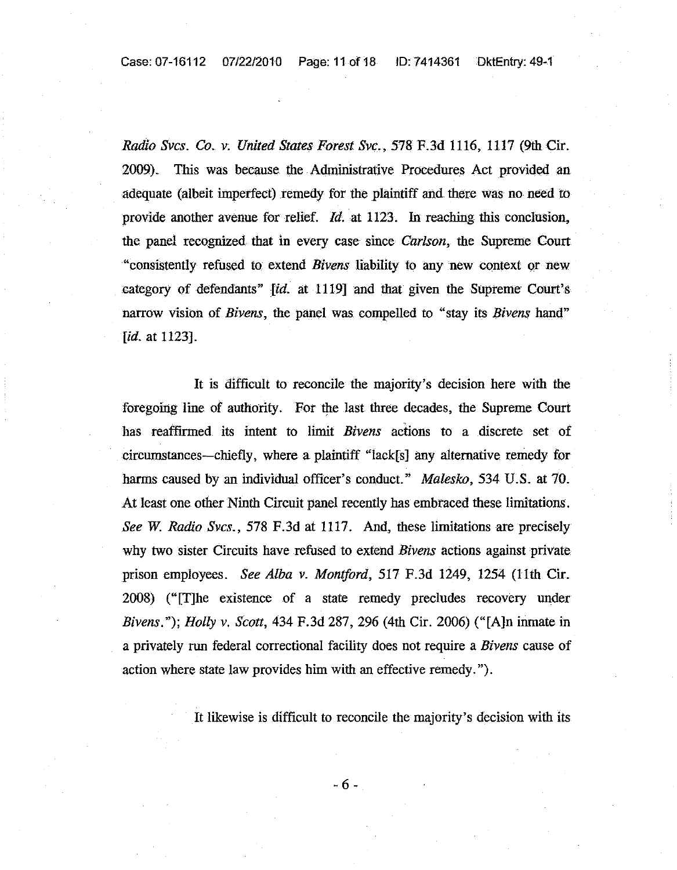Case: 07-16112 *07/22/2010* Page: 11of18 ID: 7414361 DktEntry: 49-1

*Radio Svcs.* Co. *v. United States Forest Svc.,* 578F.3d 1116, 1117 (9thCir. 2009). This was because the Administrative Procedures Act provided an adequate (albeit imperfect) remedy for the plaintiff and there was no need to provide another avenue for relief. *ld.at* 1123. In reaching this conclusion, the panel recognized that in every case since *Carlson,* the Supreme Court "consistently refused to extend *Bivens* liability to any new context or new category of defendants" *id.* at 1119] and that given the Supreme Court's narrow vision of *Bivens,* the panel was compelled to "stay its *Bivens* hand" [*id.* at 1123].

**It** is difficult to reconcile the majority's decision here with the foregoing line of authority. For the last three decades, the Supreme Court has reaffirmed its intent to limit *Bivens* actions to a discrete set of circumstances-chiefly, where a plaintiff "lack[s] any alternative remedy for harms caused by an individual officer's conduct." *Malesko*, 534 U.S. at 70. At least one other Ninth Circuit panel recently has embraced these limitations. *See W. Radio Svcs.,* 578 F.3d at 1117. And, these limitations are precisely why two sister Circuits have refused to extend *Bivens* actions against private prison employees. *See Alba v. Montford,* 517 F.3d 1249, 1254 (11th Cir. 2008) ("[T]he existence of a state remedy precludes recovery under *Bivens.* "); *Holly v. Scott,* 434 F.3d 287,296 (4th Cir. 2006) ("[A]n inmate in a privately run federal correctional facility does not require a *Bivens* cause of action where state law provides him with an effective remedy.").

It likewise is difficult to reconcile the majority's decision with its

- 6 -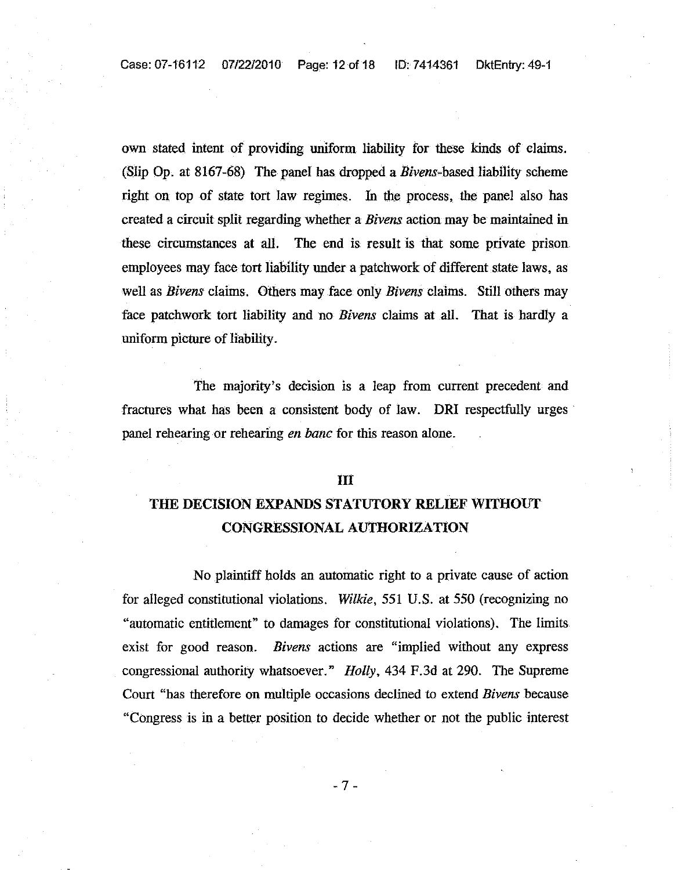Case:07-16112 07/22/2010 Page: 12of18 ID:7414361 DktEntry:49-1

own stated intent of providing uniform liability for these kinds of claims. (Slip Op. at  $8167-68$ ) The panel has dropped a *Bivens*-based liability scheme right on top of state tort law regimes. In the process, the panel also has created a circuit split regarding whether a *Bivens* action may be maintained in these circumstances at all. The end is result is that some private prison employees may face tort liability under a patchwork of different state laws, as well as *Bivens* claims. Others may face only *Bivens* claims. Still others may face patchwork tort liability and no *Bivens* claims at all. That is hardly a uniform picture of liability.

The majority's decision is a leap from current precedent and fractures what has been a consistent body of law. DRI respectfully urges· panel rehearing or rehearing *en bane* for this reason alone.

#### III

# THE DECISION EXPANDS STATUTORY RELIEF WITHOUT CONGRESSIONAL AUTHORIZATION

No plaintiff holds an automatic right to a private cause of action for alleged constitutional violations. *Wilkie*, 551 U.S. at 550 (recognizing no "automatic entitlement" to damages for constitutional violations). The limits exist for good reason. *Bivens* actions are "implied without any express congressional authority whatsoever." *Holly*, 434 F.3d at 290. The Supreme Court "has therefore on mUltiple occasions declined to extend *Bivens* because "Congress is in a better position to decide whether or not the public interest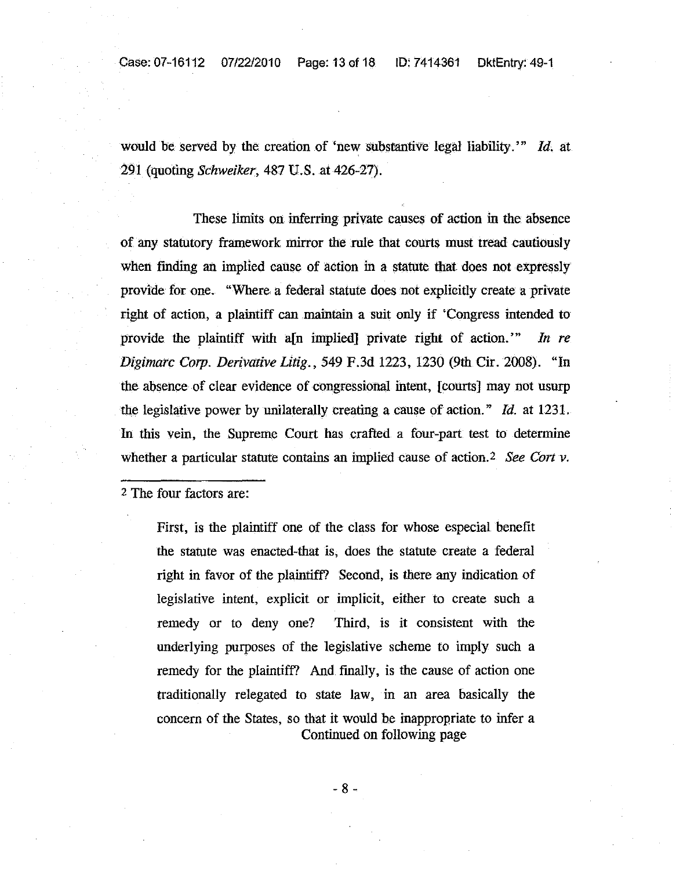Case: 07-16112 07/22/2010 Page: 13 of 18 ID: 7414361 OktEntry: 49-1

would be served by the creation of 'new substantive legal liability.'" *ld.* at 291 (quoting *Schweiker,* 487 U.S. at 426-27).

These limits on inferring private causes of action in the. absence of any statutory framework mirror the rule that courts must tread cautiously when finding an implied cause of action in a statute that does not expressly provide for one. "Where a federal statute does not explicitly create a private right of action, a plaintiff can maintain a suit only if 'Congress intended to provide the plaintiff with a<sup>[n]</sup> implied] private right of action.<sup>"</sup> In re *Digimarc Corp. Derivative Litig.,* 549 F.3d 1223,1230 (9th Cir. 2008). "In the absence of clear evidence of congressional intent, [courts] may not usurp the legislative power by unilaterally creating a cause of action." *ld.* at 1231. In this vein, the Supreme Court has crafted a four-part test to determine whether a particular statute contains an implied cause of action. 2 *See Cort v.*

2 The four factors are:

First, is the plaintiff one of the class for whose especial benefit the statute was enacted-that is, does the statute create a federal right in favor of the plaintiff? Second, is there any indication of legislative intent, explicit or implicit, either to create such a remedy or to deny one? Third, is it consistent with the underlying purposes of the legislative scheme to imply such a remedy for the plaintiff? And fmally, is the cause of action one traditionally relegated to state law, in an area basically the concern of the States, so that it would be inappropriate to infer a Continued on following page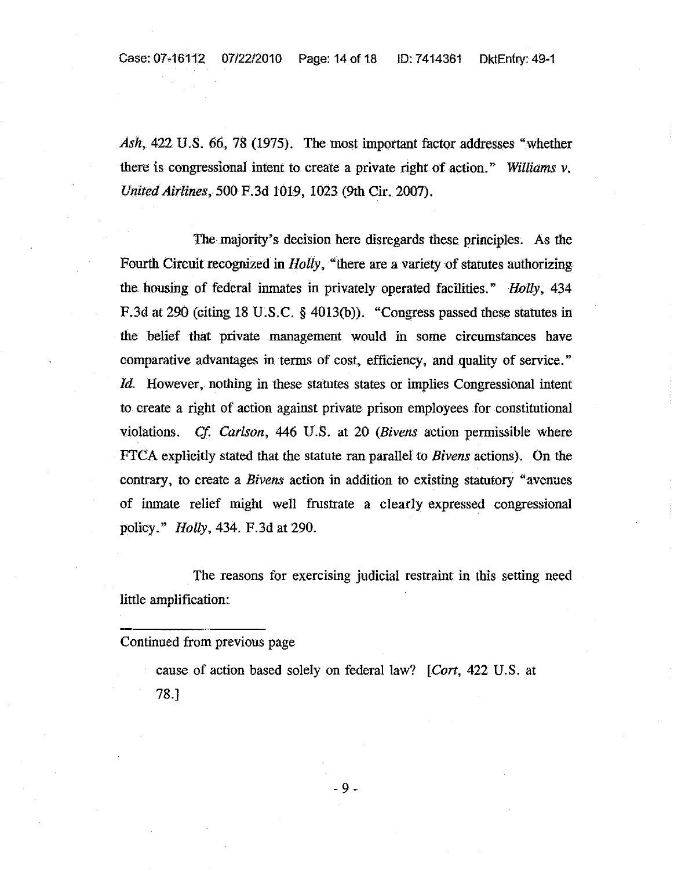Ash, 422 U.S. 66, 78 (1975). The most important factor addresses "whether there is congressional intent to create a private right of action. " *Williams* v. *United Airlines,* 500 F.3d 1019, 1023 (9th Cir. 2007).

The majority's decision here disregards these principles. As the Fourth Circuit recognized in *Holly*, "there are a variety of statutes authorizing the housing of federal inmates in privately operated facilities." *Holly, 434* F.3d at 290 (citing 18 U.S.C. § 4013(b)). "Congress passed these statutes in the belief that private management would in some circumstances have comparative advantages in terms of cost, efficiency, and quality of service." *Id.* However, nothing in these statutes states or implies Congressional intent to create a right of action against private prison employees for constitutional violations. Cf. *Carlson,* 446 U.S. at 20 *(Bivens* action permissible where FTCA explicitly stated that the statute ran parallel to *Bivens* actions). On the contrary, to create a *Bivens* action in addition to existing statutory "avenues of inmate relief might well frustrate a clearly expressed congressional policy." *Holly,* 434. F.3d at 290.

The reasons for exercising judicial restraint in this setting need little amplification:

cause of action based solely on federal law? *[Cart,* 422 U.S. at 78.J

Continued from previous page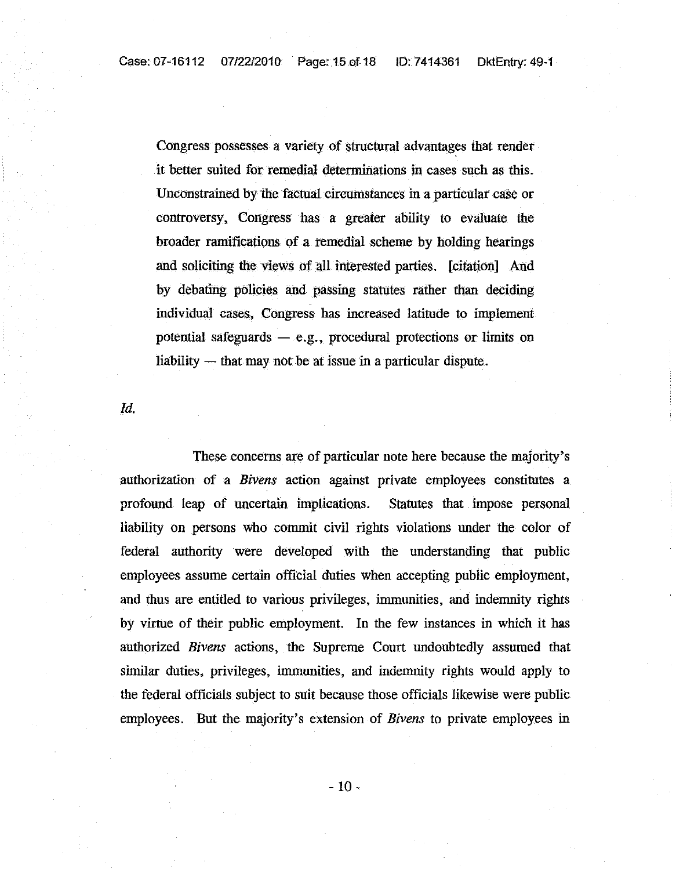Congress possesses a variety of structural advantages that render it better suited for remedial determinations in cases such as this. Unconstrained by the factual circumstances in a particular case or controversy, Congress has a greater ability to evaluate the broader ramifications of a remedial scheme by holding hearings and soliciting the views of all interested parties. [citation] And by debating policies and passing statutes rather than deciding individual cases, Congress has increased latitude to implement potential safeguards  $-$  e.g., procedural protections or limits on liability  $-$  that may not be at issue in a particular dispute.

[d.

These concerns are of particular note here because the majority's authorization of a *Bivens* action against private employees constitutes a profound leap of uncertain implications. Statutes that impose personal liability on persons who commit civil rights violations under the color of federal authority were developed with the understanding that public employees assume certain official duties when accepting public employment, and thus are entitled to various privileges, immunities, and indemnity rights by virtue of their public employment. In the few instances in which it has authorized *Bivens* actions, the Supreme Court undoubtedly assumed that similar duties, privileges, immunities, and indemnity rights would apply to the federal officials subject to suit because those officials likewise were public employees. But the majority's extension of *Bivens* to private employees in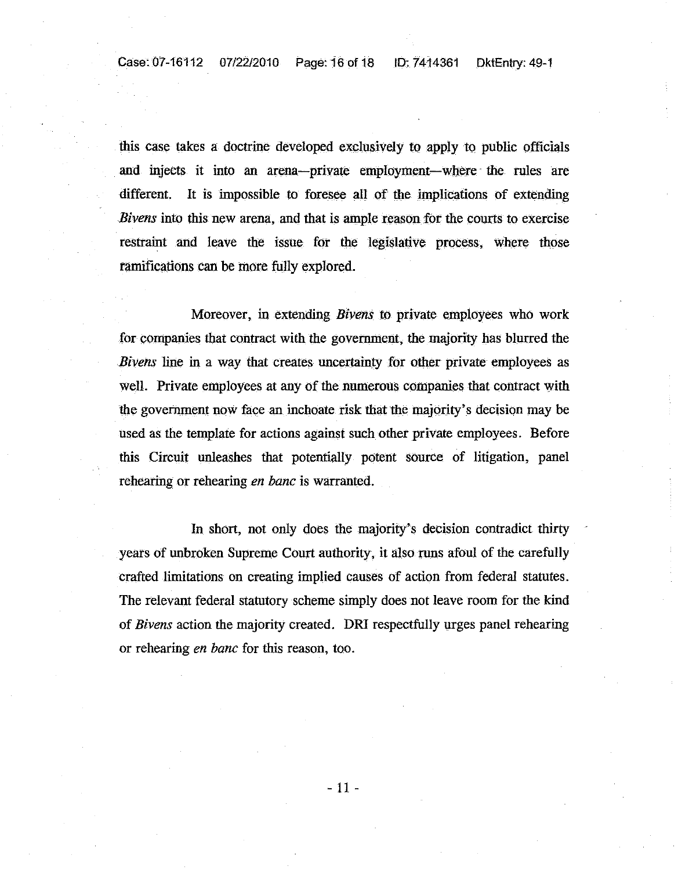this case takes a doctrine developed exclusively to apply to public officials and injects it into an arena-private employment-Where· the rules are different. It is impossible to foresee all of the implications of extending *Bivens* into this new arena, and that is ample reason for the courts to exercise restraint and leave the issue for the legislative process, where those ramifications can be more fully explored.

Moreover, in extending *Bivens* to private employees who work for companies that contract with the government, the majority has blurred the *Bivens* line in a way that creates uncertainty for other private employees as well. Private employees at any of the numerous companies that contract with the government now face an inchoate risk that the majority's decision may be used as the template for actions against such other private employees. Before this Circuit unleashes that potentially potent SOurce of litigation, panel rehearing or rehearing *en bane* is warranted.

In short, not only does the majority's decision contradict thirty years of unbroken Supreme Court authority, it also runs afoul of the carefully crafted limitations on creating implied causes of action from federal statutes. The relevant federal statutory scheme simply does not leave room for the kind of *Bivens* action the majority created. DRI respectfully urges panel rehearing or rehearing *en bane* for this reason, too.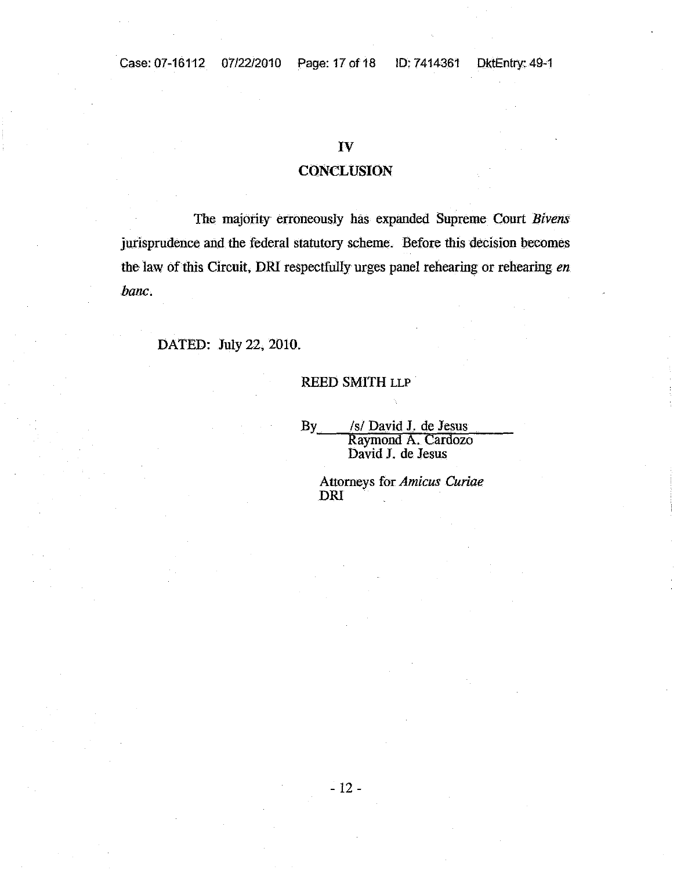### IV

### **CONCLUSION**

The majority erroneously has expanded Supreme Court *Bivens* jurisprudence and the federal statutory scheme. Before this decision becomes the law of this Circuit, DRI respectfully urges panel rehearing or rehearing *en bane.*

DATED: July 22, 2010.

#### REED SMITH LLP

By\_\_\_\_/s/ David J. de Jesus<br>Raymond A. Cardozo David J. de Jesus

Attorneys for *Amicus Curiae* **DRI**